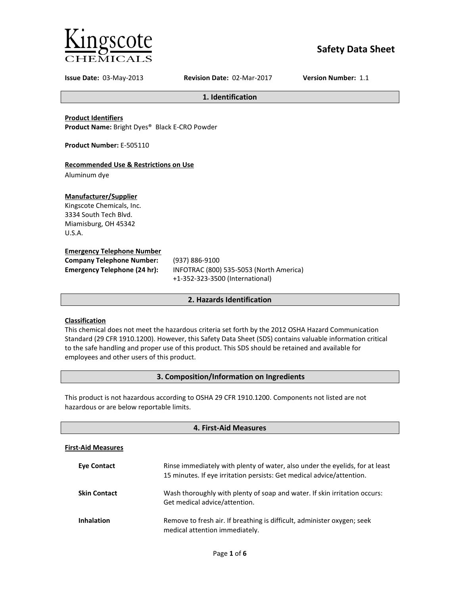

# **Safety Data Sheet**

**Issue Date:** 03-May-2013 **Revision Date:** 02-Mar-2017 **Version Number:** 1.1

**1. Identification**

**Product Identifiers Product Name:** Bright Dyes® Black E-CRO Powder

**Product Number:** E-505110

# **Recommended Use & Restrictions on Use**

Aluminum dye

# **Manufacturer/Supplier**

Kingscote Chemicals, Inc. 3334 South Tech Blvd. Miamisburg, OH 45342 U.S.A.

# **Emergency Telephone Number**

| <b>Company Telephone Number:</b> | (937)       |
|----------------------------------|-------------|
| Emergency Telephone (24 hr):     | <b>INFC</b> |
|                                  |             |

**Company Telephone Number:** (937) 886-9100 **Emergency Telephone (24 hr):** INFOTRAC (800) 535-5053 (North America) +1-352-323-3500 (International)

# **2. Hazards Identification**

# **Classification**

This chemical does not meet the hazardous criteria set forth by the 2012 OSHA Hazard Communication Standard (29 CFR 1910.1200). However, this Safety Data Sheet (SDS) contains valuable information critical to the safe handling and proper use of this product. This SDS should be retained and available for employees and other users of this product.

# **3. Composition/Information on Ingredients**

This product is not hazardous according to OSHA 29 CFR 1910.1200. Components not listed are not hazardous or are below reportable limits.

| 4. First-Aid Measures     |                                                                                                                                                       |
|---------------------------|-------------------------------------------------------------------------------------------------------------------------------------------------------|
| <b>First-Aid Measures</b> |                                                                                                                                                       |
| <b>Eve Contact</b>        | Rinse immediately with plenty of water, also under the eyelids, for at least<br>15 minutes. If eye irritation persists: Get medical advice/attention. |
| <b>Skin Contact</b>       | Wash thoroughly with plenty of soap and water. If skin irritation occurs:<br>Get medical advice/attention.                                            |
| <b>Inhalation</b>         | Remove to fresh air. If breathing is difficult, administer oxygen; seek<br>medical attention immediately.                                             |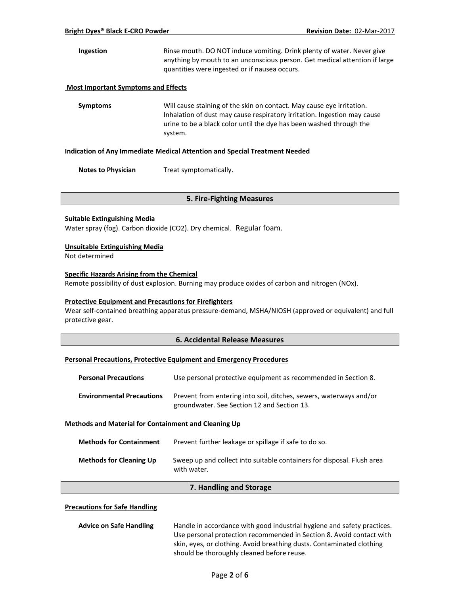**Ingestion** Rinse mouth. DO NOT induce vomiting. Drink plenty of water. Never give anything by mouth to an unconscious person. Get medical attention if large quantities were ingested or if nausea occurs.

#### **Most Important Symptoms and Effects**

**Symptoms** Will cause staining of the skin on contact. May cause eye irritation. Inhalation of dust may cause respiratory irritation. Ingestion may cause urine to be a black color until the dye has been washed through the system.

#### **Indication of Any Immediate Medical Attention and Special Treatment Needed**

**Notes to Physician** Treat symptomatically.

#### **5. Fire-Fighting Measures**

#### **Suitable Extinguishing Media**

Water spray (fog). Carbon dioxide (CO2). Dry chemical. Regular foam.

#### **Unsuitable Extinguishing Media**

Not determined

#### **Specific Hazards Arising from the Chemical**

Remote possibility of dust explosion. Burning may produce oxides of carbon and nitrogen (NOx).

### **Protective Equipment and Precautions for Firefighters**

Wear self-contained breathing apparatus pressure-demand, MSHA/NIOSH (approved or equivalent) and full protective gear.

# **6. Accidental Release Measures**

#### **Personal Precautions, Protective Equipment and Emergency Procedures**

| <b>Personal Precautions</b>      | Use personal protective equipment as recommended in Section 8.                                                    |
|----------------------------------|-------------------------------------------------------------------------------------------------------------------|
| <b>Environmental Precautions</b> | Prevent from entering into soil, ditches, sewers, waterways and/or<br>groundwater. See Section 12 and Section 13. |

#### **Methods and Material for Containment and Cleaning Up**

| <b>Methods for Containment</b> | Prevent further leakage or spillage if safe to do so.                                 |
|--------------------------------|---------------------------------------------------------------------------------------|
| <b>Methods for Cleaning Up</b> | Sweep up and collect into suitable containers for disposal. Flush area<br>with water. |

# **7. Handling and Storage**

#### **Precautions for Safe Handling**

| <b>Advice on Safe Handling</b> | Handle in accordance with good industrial hygiene and safety practices. |
|--------------------------------|-------------------------------------------------------------------------|
|                                | Use personal protection recommended in Section 8. Avoid contact with    |
|                                | skin, eyes, or clothing. Avoid breathing dusts. Contaminated clothing   |
|                                | should be thoroughly cleaned before reuse.                              |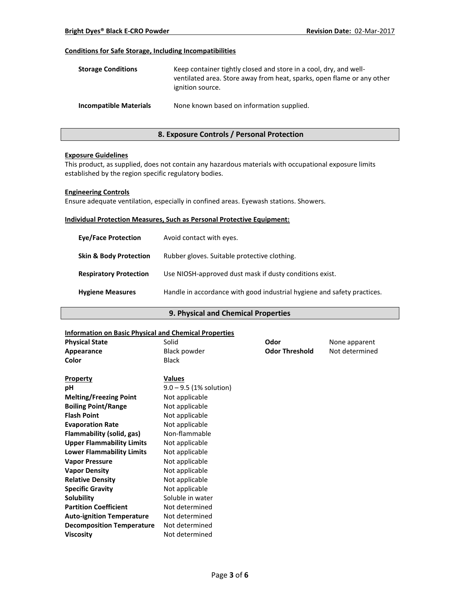# **Conditions for Safe Storage, Including Incompatibilities**

| <b>Storage Conditions</b>     | Keep container tightly closed and store in a cool, dry, and well-<br>ventilated area. Store away from heat, sparks, open flame or any other<br>ignition source. |
|-------------------------------|-----------------------------------------------------------------------------------------------------------------------------------------------------------------|
| <b>Incompatible Materials</b> | None known based on information supplied.                                                                                                                       |

# **8. Exposure Controls / Personal Protection**

#### **Exposure Guidelines**

This product, as supplied, does not contain any hazardous materials with occupational exposure limits established by the region specific regulatory bodies.

#### **Engineering Controls**

Ensure adequate ventilation, especially in confined areas. Eyewash stations. Showers.

#### **Individual Protection Measures, Such as Personal Protective Equipment:**

| <b>Eve/Face Protection</b>        | Avoid contact with eyes.                                                |
|-----------------------------------|-------------------------------------------------------------------------|
| <b>Skin &amp; Body Protection</b> | Rubber gloves. Suitable protective clothing.                            |
| <b>Respiratory Protection</b>     | Use NIOSH-approved dust mask if dusty conditions exist.                 |
| <b>Hygiene Measures</b>           | Handle in accordance with good industrial hygiene and safety practices. |

# **9. Physical and Chemical Properties**

#### **Information on Basic Physical and Chemical Properties**

| <b>Physical State</b>            | Solid                     | Odor                  | None apparent  |
|----------------------------------|---------------------------|-----------------------|----------------|
| Appearance                       | <b>Black powder</b>       | <b>Odor Threshold</b> | Not determined |
| Color                            | <b>Black</b>              |                       |                |
| <b>Property</b>                  | <b>Values</b>             |                       |                |
| pH                               | $9.0 - 9.5$ (1% solution) |                       |                |
| <b>Melting/Freezing Point</b>    | Not applicable            |                       |                |
| <b>Boiling Point/Range</b>       | Not applicable            |                       |                |
| <b>Flash Point</b>               | Not applicable            |                       |                |
| <b>Evaporation Rate</b>          | Not applicable            |                       |                |
| Flammability (solid, gas)        | Non-flammable             |                       |                |
| <b>Upper Flammability Limits</b> | Not applicable            |                       |                |
| <b>Lower Flammability Limits</b> | Not applicable            |                       |                |
| <b>Vapor Pressure</b>            | Not applicable            |                       |                |
| <b>Vapor Density</b>             | Not applicable            |                       |                |
| <b>Relative Density</b>          | Not applicable            |                       |                |
| <b>Specific Gravity</b>          | Not applicable            |                       |                |
| <b>Solubility</b>                | Soluble in water          |                       |                |
| <b>Partition Coefficient</b>     | Not determined            |                       |                |
| <b>Auto-ignition Temperature</b> | Not determined            |                       |                |
| <b>Decomposition Temperature</b> | Not determined            |                       |                |
| <b>Viscosity</b>                 | Not determined            |                       |                |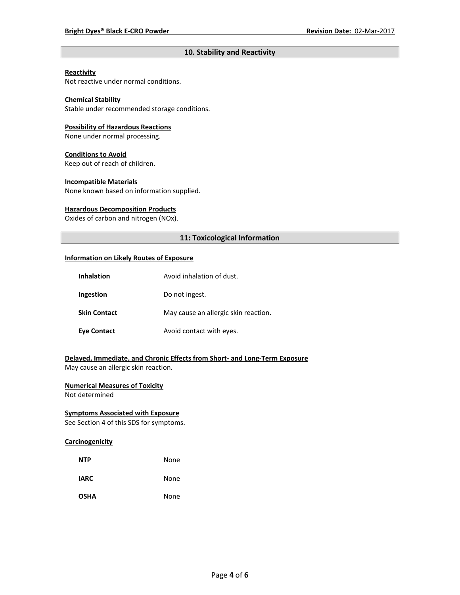# **10. Stability and Reactivity**

# **Reactivity**

Not reactive under normal conditions.

# **Chemical Stability**

Stable under recommended storage conditions.

#### **Possibility of Hazardous Reactions**

None under normal processing.

#### **Conditions to Avoid**

Keep out of reach of children.

#### **Incompatible Materials**

None known based on information supplied.

#### **Hazardous Decomposition Products**

Oxides of carbon and nitrogen (NOx).

# **11: Toxicological Information**

#### **Information on Likely Routes of Exposure**

| <b>Inhalation</b>   | Avoid inhalation of dust.            |
|---------------------|--------------------------------------|
| Ingestion           | Do not ingest.                       |
| <b>Skin Contact</b> | May cause an allergic skin reaction. |
| <b>Eye Contact</b>  | Avoid contact with eyes.             |

# **Delayed, Immediate, and Chronic Effects from Short- and Long-Term Exposure**

May cause an allergic skin reaction.

# **Numerical Measures of Toxicity**

Not determined

# **Symptoms Associated with Exposure**

See Section 4 of this SDS for symptoms.

# **Carcinogenicity**

| <b>NTP</b>  | None |
|-------------|------|
| <b>IARC</b> | None |
| <b>OSHA</b> | None |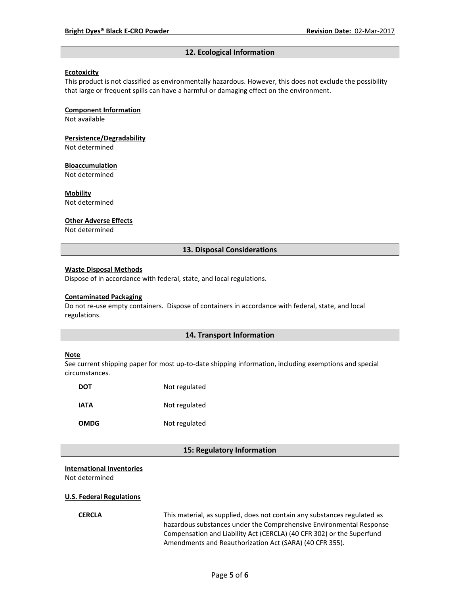#### **12. Ecological Information**

#### **Ecotoxicity**

This product is not classified as environmentally hazardous. However, this does not exclude the possibility that large or frequent spills can have a harmful or damaging effect on the environment.

#### **Component Information**

Not available

# **Persistence/Degradability**

Not determined

#### **Bioaccumulation**

Not determined

#### **Mobility**

Not determined

#### **Other Adverse Effects**

Not determined

#### **13. Disposal Considerations**

#### **Waste Disposal Methods**

Dispose of in accordance with federal, state, and local regulations.

#### **Contaminated Packaging**

Do not re-use empty containers.Dispose of containers in accordance with federal, state, and local regulations.

### **14. Transport Information**

#### **Note**

See current shipping paper for most up-to-date shipping information, including exemptions and special circumstances.

| DOT         | Not regulated |
|-------------|---------------|
| IATA        | Not regulated |
| <b>OMDG</b> | Not regulated |

#### **15: Regulatory Information**

#### **International Inventories**

Not determined

#### **U.S. Federal Regulations**

**CERCLA** This material, as supplied, does not contain any substances regulated as hazardous substances under the Comprehensive Environmental Response Compensation and Liability Act (CERCLA) (40 CFR 302) or the Superfund Amendments and Reauthorization Act (SARA) (40 CFR 355).